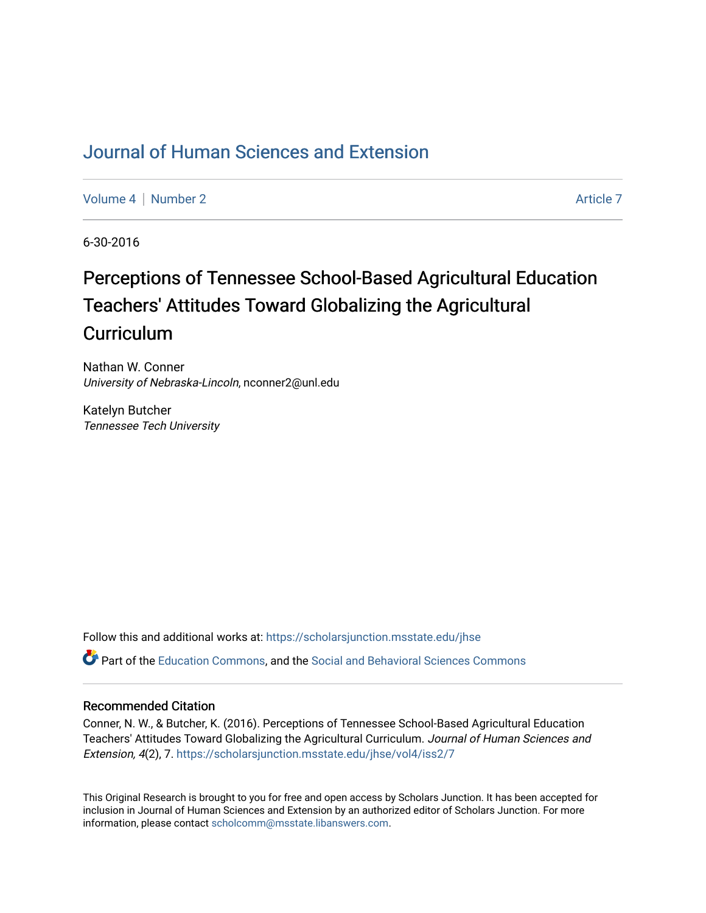# [Journal of Human Sciences and Extension](https://scholarsjunction.msstate.edu/jhse)

[Volume 4](https://scholarsjunction.msstate.edu/jhse/vol4) | [Number 2](https://scholarsjunction.msstate.edu/jhse/vol4/iss2) Article 7

6-30-2016

# Perceptions of Tennessee School-Based Agricultural Education Teachers' Attitudes Toward Globalizing the Agricultural **Curriculum**

Nathan W. Conner University of Nebraska-Lincoln, nconner2@unl.edu

Katelyn Butcher Tennessee Tech University

Follow this and additional works at: [https://scholarsjunction.msstate.edu/jhse](https://scholarsjunction.msstate.edu/jhse?utm_source=scholarsjunction.msstate.edu%2Fjhse%2Fvol4%2Fiss2%2F7&utm_medium=PDF&utm_campaign=PDFCoverPages)

Part of the [Education Commons](https://network.bepress.com/hgg/discipline/784?utm_source=scholarsjunction.msstate.edu%2Fjhse%2Fvol4%2Fiss2%2F7&utm_medium=PDF&utm_campaign=PDFCoverPages), and the [Social and Behavioral Sciences Commons](https://network.bepress.com/hgg/discipline/316?utm_source=scholarsjunction.msstate.edu%2Fjhse%2Fvol4%2Fiss2%2F7&utm_medium=PDF&utm_campaign=PDFCoverPages) 

#### Recommended Citation

Conner, N. W., & Butcher, K. (2016). Perceptions of Tennessee School-Based Agricultural Education Teachers' Attitudes Toward Globalizing the Agricultural Curriculum. Journal of Human Sciences and Extension, 4(2), 7. [https://scholarsjunction.msstate.edu/jhse/vol4/iss2/7](https://scholarsjunction.msstate.edu/jhse/vol4/iss2/7?utm_source=scholarsjunction.msstate.edu%2Fjhse%2Fvol4%2Fiss2%2F7&utm_medium=PDF&utm_campaign=PDFCoverPages) 

This Original Research is brought to you for free and open access by Scholars Junction. It has been accepted for inclusion in Journal of Human Sciences and Extension by an authorized editor of Scholars Junction. For more information, please contact [scholcomm@msstate.libanswers.com](mailto:scholcomm@msstate.libanswers.com).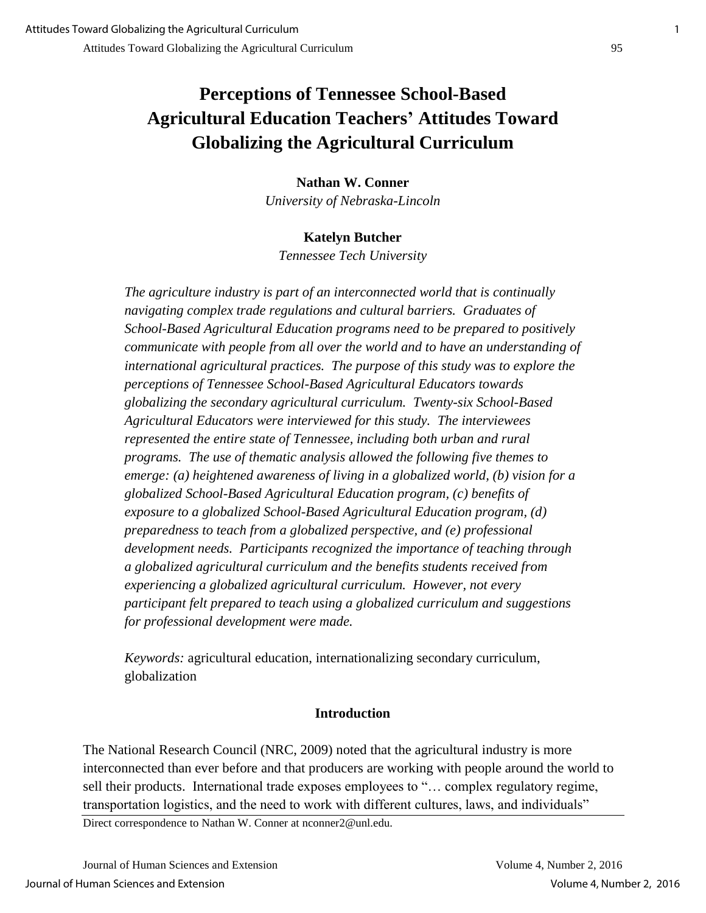# **Perceptions of Tennessee School-Based Agricultural Education Teachers' Attitudes Toward Globalizing the Agricultural Curriculum**

**Nathan W. Conner**  *University of Nebraska-Lincoln* 

# **Katelyn Butcher**

*Tennessee Tech University* 

*The agriculture industry is part of an interconnected world that is continually navigating complex trade regulations and cultural barriers. Graduates of School-Based Agricultural Education programs need to be prepared to positively communicate with people from all over the world and to have an understanding of international agricultural practices. The purpose of this study was to explore the perceptions of Tennessee School-Based Agricultural Educators towards globalizing the secondary agricultural curriculum. Twenty-six School-Based Agricultural Educators were interviewed for this study. The interviewees represented the entire state of Tennessee, including both urban and rural programs. The use of thematic analysis allowed the following five themes to emerge: (a) heightened awareness of living in a globalized world, (b) vision for a globalized School-Based Agricultural Education program, (c) benefits of exposure to a globalized School-Based Agricultural Education program, (d) preparedness to teach from a globalized perspective, and (e) professional development needs. Participants recognized the importance of teaching through a globalized agricultural curriculum and the benefits students received from experiencing a globalized agricultural curriculum. However, not every participant felt prepared to teach using a globalized curriculum and suggestions for professional development were made.* 

*Keywords:* agricultural education, internationalizing secondary curriculum, globalization

### **Introduction**

The National Research Council (NRC, 2009) noted that the agricultural industry is more interconnected than ever before and that producers are working with people around the world to sell their products. International trade exposes employees to "… complex regulatory regime, transportation logistics, and the need to work with different cultures, laws, and individuals"

Direct correspondence to Nathan W. Conner at nconner2@unl.edu.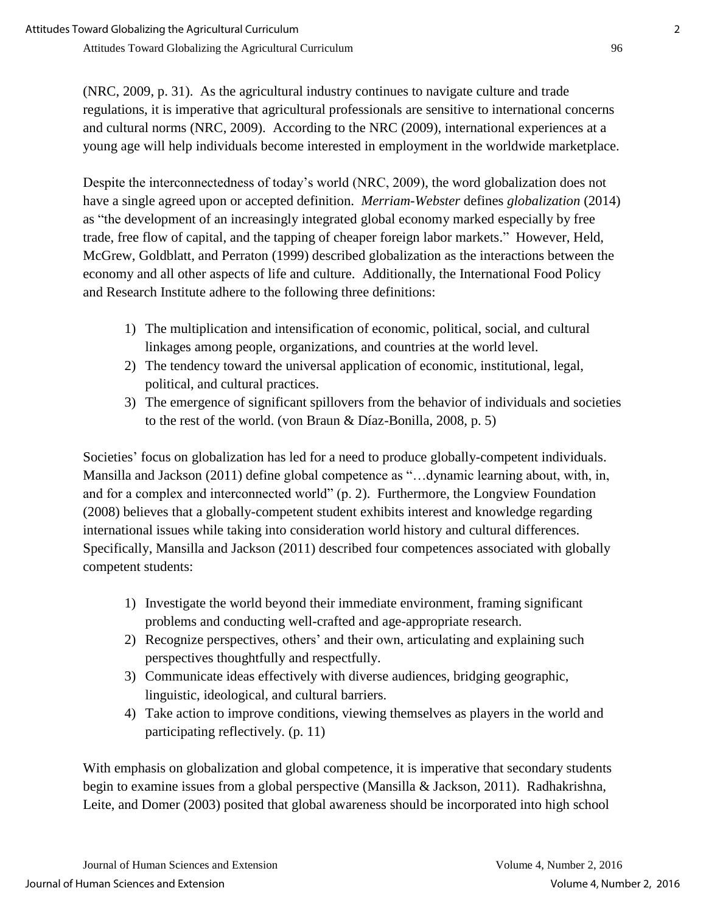(NRC, 2009, p. 31). As the agricultural industry continues to navigate culture and trade regulations, it is imperative that agricultural professionals are sensitive to international concerns and cultural norms (NRC, 2009). According to the NRC (2009), international experiences at a young age will help individuals become interested in employment in the worldwide marketplace.

Despite the interconnectedness of today's world (NRC, 2009), the word globalization does not have a single agreed upon or accepted definition. *Merriam-Webster* defines *globalization* (2014) as "the development of an increasingly integrated global economy marked especially by free trade, free flow of capital, and the tapping of cheaper foreign labor markets." However, Held, McGrew, Goldblatt, and Perraton (1999) described globalization as the interactions between the economy and all other aspects of life and culture. Additionally, the International Food Policy and Research Institute adhere to the following three definitions:

- 1) The multiplication and intensification of economic, political, social, and cultural linkages among people, organizations, and countries at the world level.
- 2) The tendency toward the universal application of economic, institutional, legal, political, and cultural practices.
- 3) The emergence of significant spillovers from the behavior of individuals and societies to the rest of the world. (von Braun & Díaz-Bonilla, 2008, p. 5)

Societies' focus on globalization has led for a need to produce globally-competent individuals. Mansilla and Jackson (2011) define global competence as "…dynamic learning about, with, in, and for a complex and interconnected world" (p. 2). Furthermore, the Longview Foundation (2008) believes that a globally-competent student exhibits interest and knowledge regarding international issues while taking into consideration world history and cultural differences. Specifically, Mansilla and Jackson (2011) described four competences associated with globally competent students:

- 1) Investigate the world beyond their immediate environment, framing significant problems and conducting well-crafted and age-appropriate research.
- 2) Recognize perspectives, others' and their own, articulating and explaining such perspectives thoughtfully and respectfully.
- 3) Communicate ideas effectively with diverse audiences, bridging geographic, linguistic, ideological, and cultural barriers.
- 4) Take action to improve conditions, viewing themselves as players in the world and participating reflectively. (p. 11)

With emphasis on globalization and global competence, it is imperative that secondary students begin to examine issues from a global perspective (Mansilla & Jackson, 2011). Radhakrishna, Leite, and Domer (2003) posited that global awareness should be incorporated into high school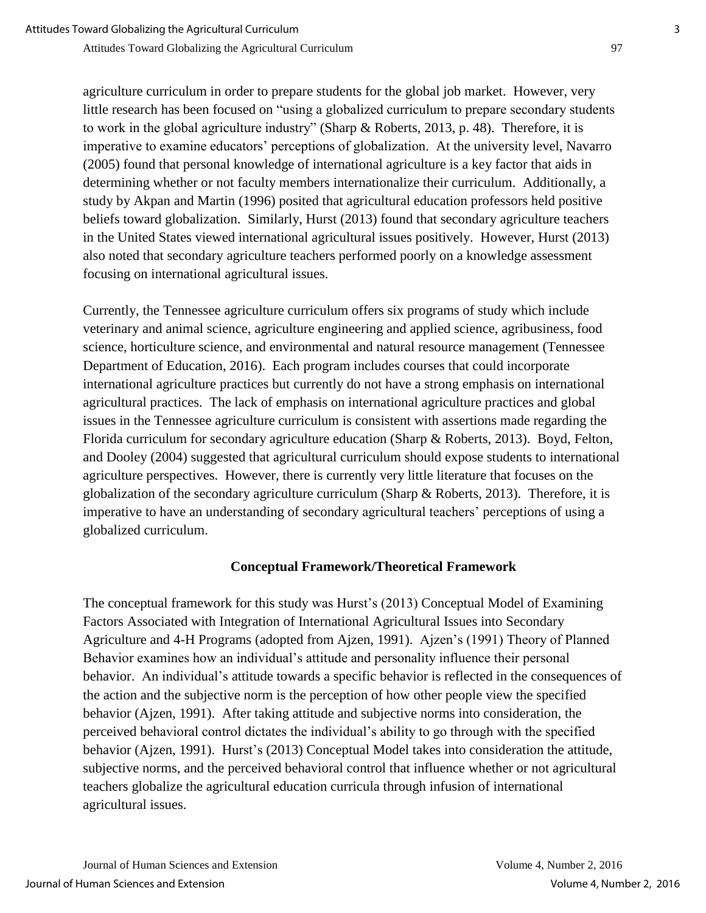agriculture curriculum in order to prepare students for the global job market. However, very little research has been focused on "using a globalized curriculum to prepare secondary students to work in the global agriculture industry" (Sharp & Roberts, 2013, p. 48). Therefore, it is imperative to examine educators' perceptions of globalization. At the university level, Navarro (2005) found that personal knowledge of international agriculture is a key factor that aids in determining whether or not faculty members internationalize their curriculum. Additionally, a study by Akpan and Martin (1996) posited that agricultural education professors held positive beliefs toward globalization. Similarly, Hurst (2013) found that secondary agriculture teachers in the United States viewed international agricultural issues positively. However, Hurst (2013) also noted that secondary agriculture teachers performed poorly on a knowledge assessment focusing on international agricultural issues.

Currently, the Tennessee agriculture curriculum offers six programs of study which include veterinary and animal science, agriculture engineering and applied science, agribusiness, food science, horticulture science, and environmental and natural resource management (Tennessee Department of Education, 2016). Each program includes courses that could incorporate international agriculture practices but currently do not have a strong emphasis on international agricultural practices. The lack of emphasis on international agriculture practices and global issues in the Tennessee agriculture curriculum is consistent with assertions made regarding the Florida curriculum for secondary agriculture education (Sharp & Roberts, 2013). Boyd, Felton, and Dooley (2004) suggested that agricultural curriculum should expose students to international agriculture perspectives. However, there is currently very little literature that focuses on the globalization of the secondary agriculture curriculum (Sharp & Roberts, 2013). Therefore, it is imperative to have an understanding of secondary agricultural teachers' perceptions of using a globalized curriculum.

### **Conceptual Framework/Theoretical Framework**

The conceptual framework for this study was Hurst's (2013) Conceptual Model of Examining Factors Associated with Integration of International Agricultural Issues into Secondary Agriculture and 4-H Programs (adopted from Ajzen, 1991). Ajzen's (1991) Theory of Planned Behavior examines how an individual's attitude and personality influence their personal behavior. An individual's attitude towards a specific behavior is reflected in the consequences of the action and the subjective norm is the perception of how other people view the specified behavior (Ajzen, 1991). After taking attitude and subjective norms into consideration, the perceived behavioral control dictates the individual's ability to go through with the specified behavior (Ajzen, 1991). Hurst's (2013) Conceptual Model takes into consideration the attitude, subjective norms, and the perceived behavioral control that influence whether or not agricultural teachers globalize the agricultural education curricula through infusion of international agricultural issues.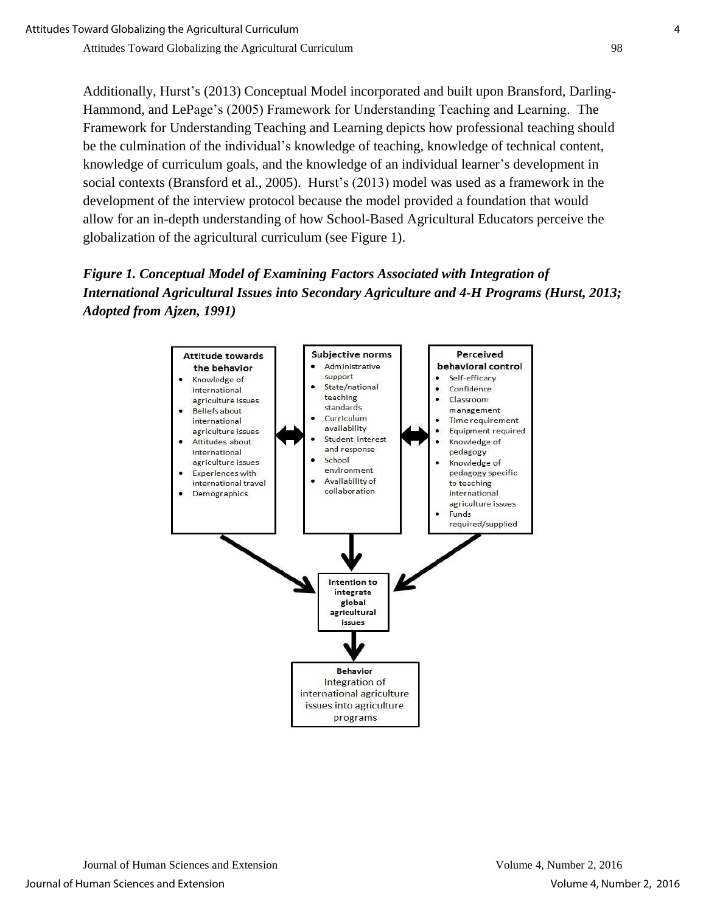Additionally, Hurst's (2013) Conceptual Model incorporated and built upon Bransford, Darling-Hammond, and LePage's (2005) Framework for Understanding Teaching and Learning. The Framework for Understanding Teaching and Learning depicts how professional teaching should be the culmination of the individual's knowledge of teaching, knowledge of technical content, knowledge of curriculum goals, and the knowledge of an individual learner's development in social contexts (Bransford et al., 2005). Hurst's (2013) model was used as a framework in the development of the interview protocol because the model provided a foundation that would allow for an in-depth understanding of how School-Based Agricultural Educators perceive the globalization of the agricultural curriculum (see Figure 1).

*Figure 1. Conceptual Model of Examining Factors Associated with Integration of International Agricultural Issues into Secondary Agriculture and 4-H Programs (Hurst, 2013; Adopted from Ajzen, 1991)* 

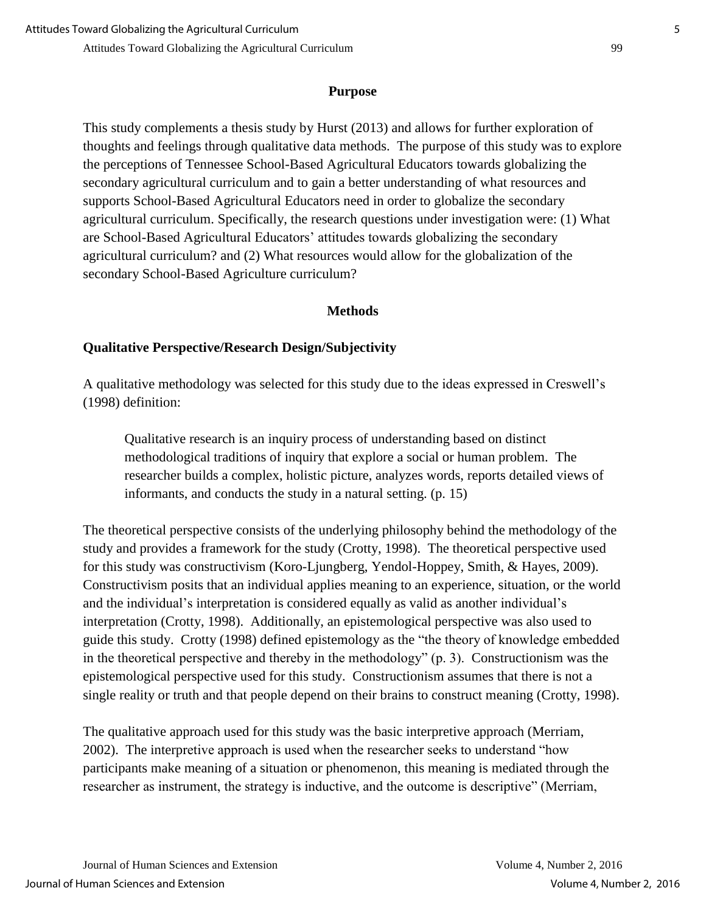#### **Purpose**

This study complements a thesis study by Hurst (2013) and allows for further exploration of thoughts and feelings through qualitative data methods. The purpose of this study was to explore the perceptions of Tennessee School-Based Agricultural Educators towards globalizing the secondary agricultural curriculum and to gain a better understanding of what resources and supports School-Based Agricultural Educators need in order to globalize the secondary agricultural curriculum. Specifically, the research questions under investigation were: (1) What are School-Based Agricultural Educators' attitudes towards globalizing the secondary agricultural curriculum? and (2) What resources would allow for the globalization of the secondary School-Based Agriculture curriculum?

### **Methods**

# **Qualitative Perspective/Research Design/Subjectivity**

A qualitative methodology was selected for this study due to the ideas expressed in Creswell's (1998) definition:

 Qualitative research is an inquiry process of understanding based on distinct methodological traditions of inquiry that explore a social or human problem. The researcher builds a complex, holistic picture, analyzes words, reports detailed views of informants, and conducts the study in a natural setting. (p. 15)

The theoretical perspective consists of the underlying philosophy behind the methodology of the study and provides a framework for the study (Crotty, 1998). The theoretical perspective used for this study was constructivism (Koro-Ljungberg, Yendol-Hoppey, Smith, & Hayes, 2009). Constructivism posits that an individual applies meaning to an experience, situation, or the world and the individual's interpretation is considered equally as valid as another individual's interpretation (Crotty, 1998). Additionally, an epistemological perspective was also used to guide this study. Crotty (1998) defined epistemology as the "the theory of knowledge embedded in the theoretical perspective and thereby in the methodology" (p. 3). Constructionism was the epistemological perspective used for this study. Constructionism assumes that there is not a single reality or truth and that people depend on their brains to construct meaning (Crotty, 1998).

The qualitative approach used for this study was the basic interpretive approach (Merriam, 2002). The interpretive approach is used when the researcher seeks to understand "how participants make meaning of a situation or phenomenon, this meaning is mediated through the researcher as instrument, the strategy is inductive, and the outcome is descriptive" (Merriam,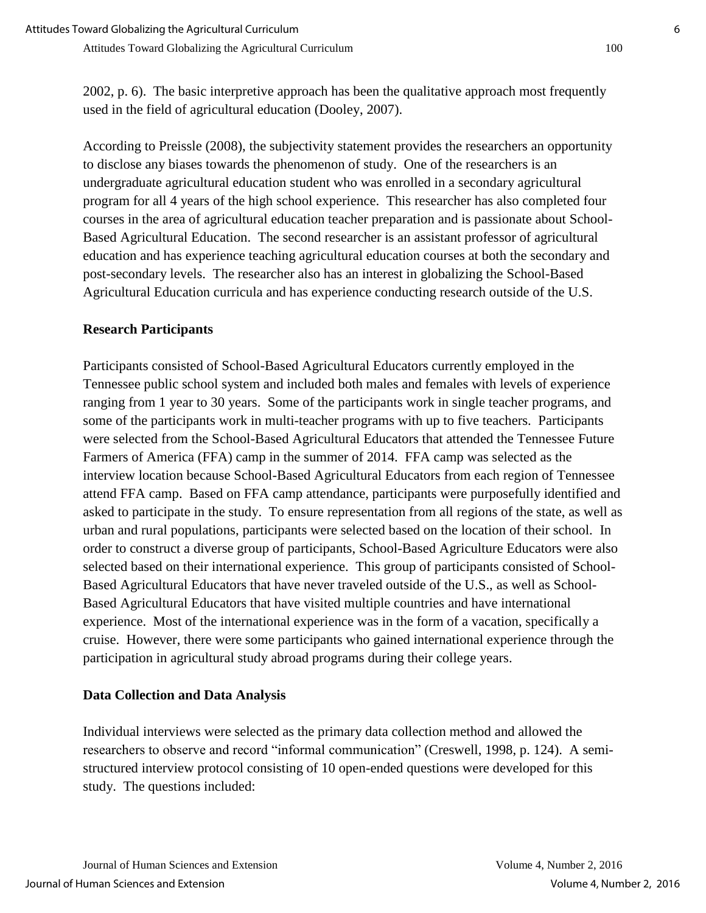According to Preissle (2008), the subjectivity statement provides the researchers an opportunity to disclose any biases towards the phenomenon of study. One of the researchers is an undergraduate agricultural education student who was enrolled in a secondary agricultural program for all 4 years of the high school experience. This researcher has also completed four courses in the area of agricultural education teacher preparation and is passionate about School-Based Agricultural Education. The second researcher is an assistant professor of agricultural education and has experience teaching agricultural education courses at both the secondary and post-secondary levels. The researcher also has an interest in globalizing the School-Based Agricultural Education curricula and has experience conducting research outside of the U.S.

### **Research Participants**

Participants consisted of School-Based Agricultural Educators currently employed in the Tennessee public school system and included both males and females with levels of experience ranging from 1 year to 30 years. Some of the participants work in single teacher programs, and some of the participants work in multi-teacher programs with up to five teachers. Participants were selected from the School-Based Agricultural Educators that attended the Tennessee Future Farmers of America (FFA) camp in the summer of 2014. FFA camp was selected as the interview location because School-Based Agricultural Educators from each region of Tennessee attend FFA camp. Based on FFA camp attendance, participants were purposefully identified and asked to participate in the study. To ensure representation from all regions of the state, as well as urban and rural populations, participants were selected based on the location of their school. In order to construct a diverse group of participants, School-Based Agriculture Educators were also selected based on their international experience. This group of participants consisted of School-Based Agricultural Educators that have never traveled outside of the U.S., as well as School-Based Agricultural Educators that have visited multiple countries and have international experience. Most of the international experience was in the form of a vacation, specifically a cruise. However, there were some participants who gained international experience through the participation in agricultural study abroad programs during their college years.

### **Data Collection and Data Analysis**

Individual interviews were selected as the primary data collection method and allowed the researchers to observe and record "informal communication" (Creswell, 1998, p. 124). A semistructured interview protocol consisting of 10 open-ended questions were developed for this study. The questions included: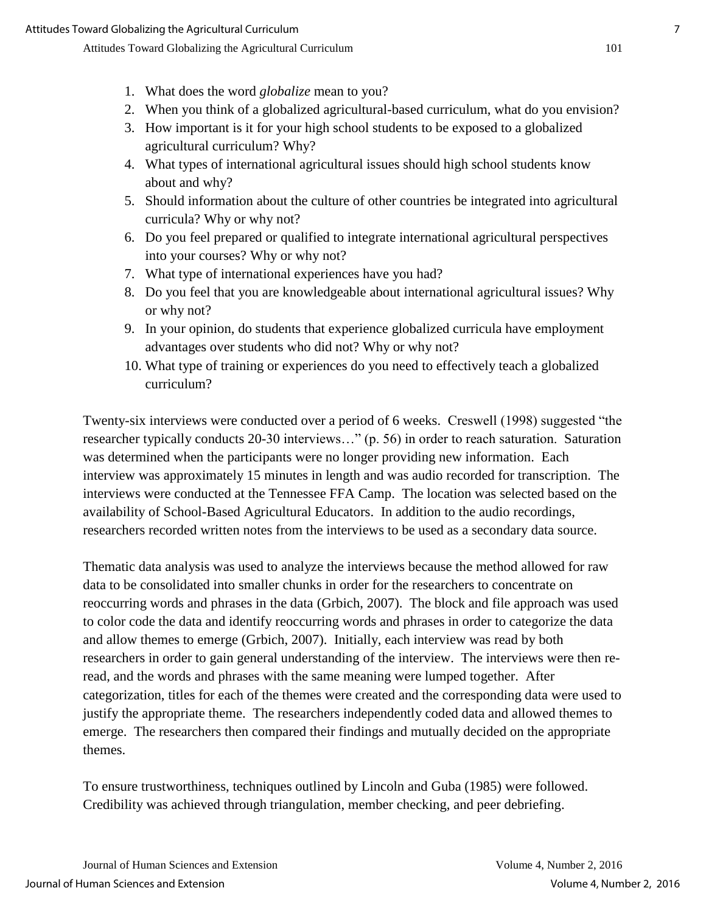- 2. When you think of a globalized agricultural-based curriculum, what do you envision?
- 3. How important is it for your high school students to be exposed to a globalized agricultural curriculum? Why?
- 4. What types of international agricultural issues should high school students know about and why?
- 5. Should information about the culture of other countries be integrated into agricultural curricula? Why or why not?
- 6. Do you feel prepared or qualified to integrate international agricultural perspectives into your courses? Why or why not?
- 7. What type of international experiences have you had?
- 8. Do you feel that you are knowledgeable about international agricultural issues? Why or why not?
- 9. In your opinion, do students that experience globalized curricula have employment advantages over students who did not? Why or why not?
- 10. What type of training or experiences do you need to effectively teach a globalized curriculum?

Twenty-six interviews were conducted over a period of 6 weeks. Creswell (1998) suggested "the researcher typically conducts 20-30 interviews…" (p. 56) in order to reach saturation. Saturation was determined when the participants were no longer providing new information. Each interview was approximately 15 minutes in length and was audio recorded for transcription. The interviews were conducted at the Tennessee FFA Camp. The location was selected based on the availability of School-Based Agricultural Educators. In addition to the audio recordings, researchers recorded written notes from the interviews to be used as a secondary data source.

Thematic data analysis was used to analyze the interviews because the method allowed for raw data to be consolidated into smaller chunks in order for the researchers to concentrate on reoccurring words and phrases in the data (Grbich, 2007). The block and file approach was used to color code the data and identify reoccurring words and phrases in order to categorize the data and allow themes to emerge (Grbich, 2007). Initially, each interview was read by both researchers in order to gain general understanding of the interview. The interviews were then reread, and the words and phrases with the same meaning were lumped together. After categorization, titles for each of the themes were created and the corresponding data were used to justify the appropriate theme. The researchers independently coded data and allowed themes to emerge. The researchers then compared their findings and mutually decided on the appropriate themes.

To ensure trustworthiness, techniques outlined by Lincoln and Guba (1985) were followed. Credibility was achieved through triangulation, member checking, and peer debriefing.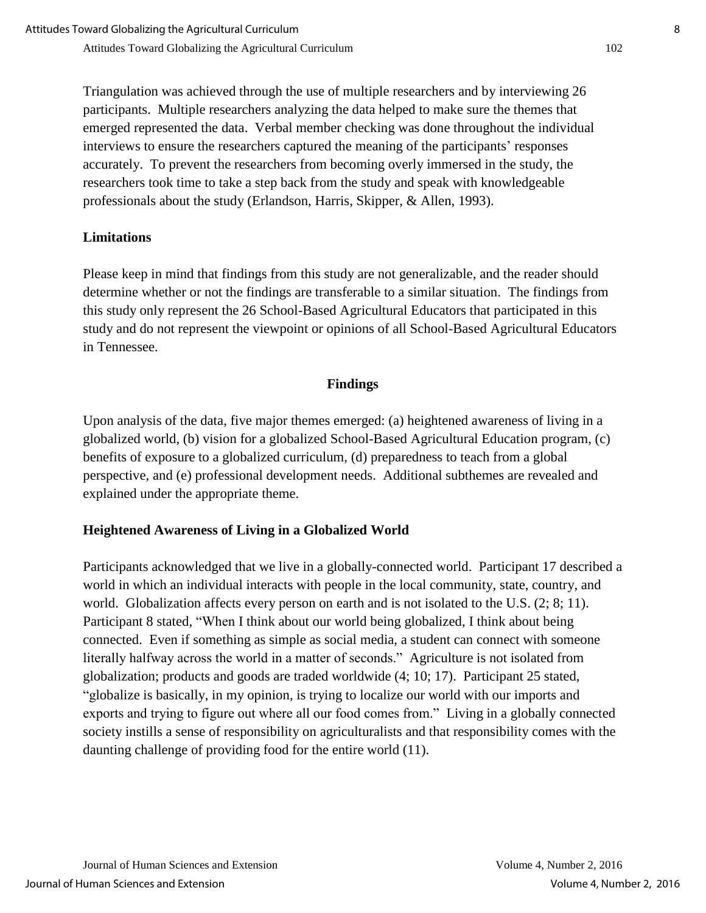Triangulation was achieved through the use of multiple researchers and by interviewing 26 participants. Multiple researchers analyzing the data helped to make sure the themes that emerged represented the data. Verbal member checking was done throughout the individual interviews to ensure the researchers captured the meaning of the participants' responses accurately. To prevent the researchers from becoming overly immersed in the study, the researchers took time to take a step back from the study and speak with knowledgeable professionals about the study (Erlandson, Harris, Skipper, & Allen, 1993).

# **Limitations**

Please keep in mind that findings from this study are not generalizable, and the reader should determine whether or not the findings are transferable to a similar situation. The findings from this study only represent the 26 School-Based Agricultural Educators that participated in this study and do not represent the viewpoint or opinions of all School-Based Agricultural Educators in Tennessee.

#### **Findings**

Upon analysis of the data, five major themes emerged: (a) heightened awareness of living in a globalized world, (b) vision for a globalized School-Based Agricultural Education program, (c) benefits of exposure to a globalized curriculum, (d) preparedness to teach from a global perspective, and (e) professional development needs. Additional subthemes are revealed and explained under the appropriate theme.

### **Heightened Awareness of Living in a Globalized World**

Participants acknowledged that we live in a globally-connected world. Participant 17 described a world in which an individual interacts with people in the local community, state, country, and world. Globalization affects every person on earth and is not isolated to the U.S.  $(2, 8, 11)$ . Participant 8 stated, "When I think about our world being globalized, I think about being connected. Even if something as simple as social media, a student can connect with someone literally halfway across the world in a matter of seconds." Agriculture is not isolated from globalization; products and goods are traded worldwide (4; 10; 17). Participant 25 stated, "globalize is basically, in my opinion, is trying to localize our world with our imports and exports and trying to figure out where all our food comes from." Living in a globally connected society instills a sense of responsibility on agriculturalists and that responsibility comes with the daunting challenge of providing food for the entire world (11).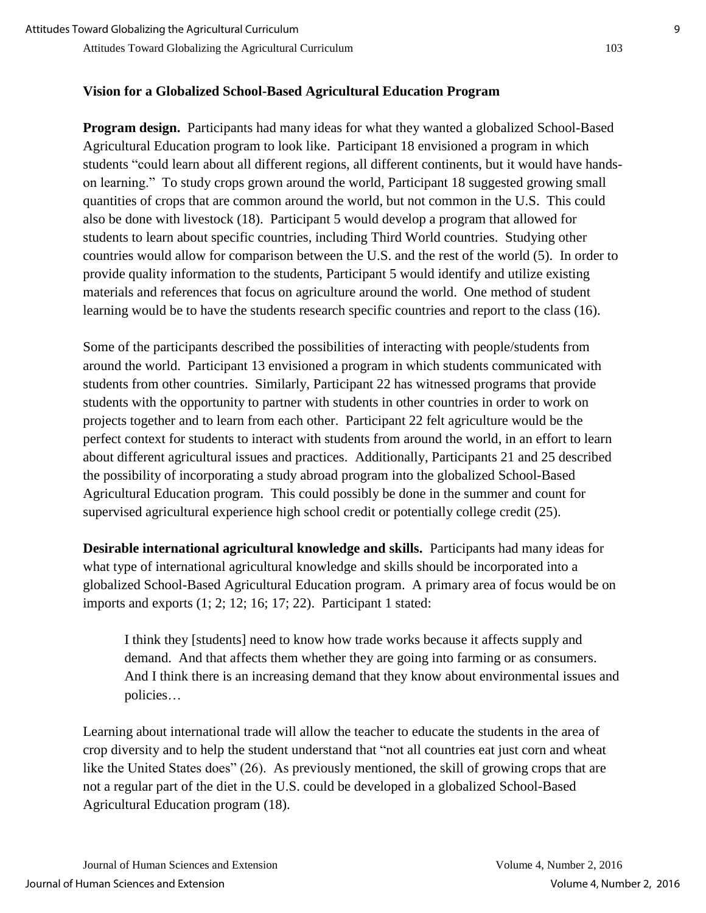# **Vision for a Globalized School-Based Agricultural Education Program**

**Program design.** Participants had many ideas for what they wanted a globalized School-Based Agricultural Education program to look like. Participant 18 envisioned a program in which students "could learn about all different regions, all different continents, but it would have handson learning." To study crops grown around the world, Participant 18 suggested growing small quantities of crops that are common around the world, but not common in the U.S. This could also be done with livestock (18). Participant 5 would develop a program that allowed for students to learn about specific countries, including Third World countries. Studying other countries would allow for comparison between the U.S. and the rest of the world (5). In order to provide quality information to the students, Participant 5 would identify and utilize existing materials and references that focus on agriculture around the world. One method of student learning would be to have the students research specific countries and report to the class (16).

Some of the participants described the possibilities of interacting with people/students from around the world. Participant 13 envisioned a program in which students communicated with students from other countries. Similarly, Participant 22 has witnessed programs that provide students with the opportunity to partner with students in other countries in order to work on projects together and to learn from each other. Participant 22 felt agriculture would be the perfect context for students to interact with students from around the world, in an effort to learn about different agricultural issues and practices. Additionally, Participants 21 and 25 described the possibility of incorporating a study abroad program into the globalized School-Based Agricultural Education program. This could possibly be done in the summer and count for supervised agricultural experience high school credit or potentially college credit (25).

**Desirable international agricultural knowledge and skills.** Participants had many ideas for what type of international agricultural knowledge and skills should be incorporated into a globalized School-Based Agricultural Education program. A primary area of focus would be on imports and exports (1; 2; 12; 16; 17; 22). Participant 1 stated:

I think they [students] need to know how trade works because it affects supply and demand. And that affects them whether they are going into farming or as consumers. And I think there is an increasing demand that they know about environmental issues and policies…

Learning about international trade will allow the teacher to educate the students in the area of crop diversity and to help the student understand that "not all countries eat just corn and wheat like the United States does" (26). As previously mentioned, the skill of growing crops that are not a regular part of the diet in the U.S. could be developed in a globalized School-Based Agricultural Education program (18).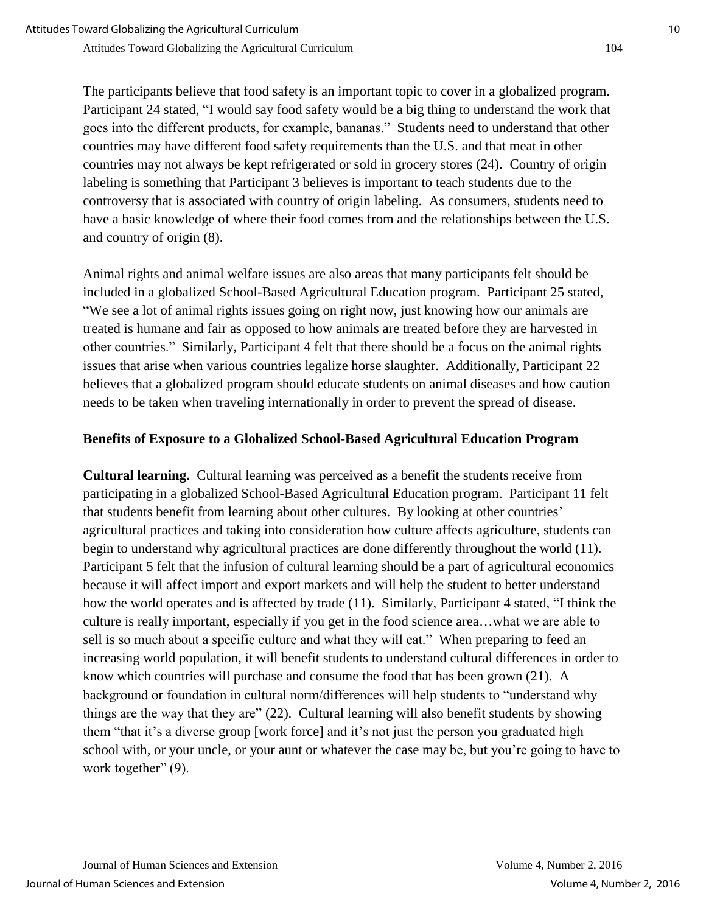The participants believe that food safety is an important topic to cover in a globalized program. Participant 24 stated, "I would say food safety would be a big thing to understand the work that goes into the different products, for example, bananas." Students need to understand that other countries may have different food safety requirements than the U.S. and that meat in other countries may not always be kept refrigerated or sold in grocery stores (24). Country of origin labeling is something that Participant 3 believes is important to teach students due to the controversy that is associated with country of origin labeling. As consumers, students need to have a basic knowledge of where their food comes from and the relationships between the U.S.

and country of origin (8). Animal rights and animal welfare issues are also areas that many participants felt should be included in a globalized School-Based Agricultural Education program. Participant 25 stated, "We see a lot of animal rights issues going on right now, just knowing how our animals are treated is humane and fair as opposed to how animals are treated before they are harvested in other countries." Similarly, Participant 4 felt that there should be a focus on the animal rights

issues that arise when various countries legalize horse slaughter. Additionally, Participant 22 believes that a globalized program should educate students on animal diseases and how caution needs to be taken when traveling internationally in order to prevent the spread of disease.

#### **Benefits of Exposure to a Globalized School-Based Agricultural Education Program**

**Cultural learning.** Cultural learning was perceived as a benefit the students receive from participating in a globalized School-Based Agricultural Education program. Participant 11 felt that students benefit from learning about other cultures. By looking at other countries' agricultural practices and taking into consideration how culture affects agriculture, students can begin to understand why agricultural practices are done differently throughout the world (11). Participant 5 felt that the infusion of cultural learning should be a part of agricultural economics because it will affect import and export markets and will help the student to better understand how the world operates and is affected by trade (11). Similarly, Participant 4 stated, "I think the culture is really important, especially if you get in the food science area…what we are able to sell is so much about a specific culture and what they will eat." When preparing to feed an increasing world population, it will benefit students to understand cultural differences in order to know which countries will purchase and consume the food that has been grown (21). A background or foundation in cultural norm/differences will help students to "understand why things are the way that they are" (22). Cultural learning will also benefit students by showing them "that it's a diverse group [work force] and it's not just the person you graduated high school with, or your uncle, or your aunt or whatever the case may be, but you're going to have to work together" (9).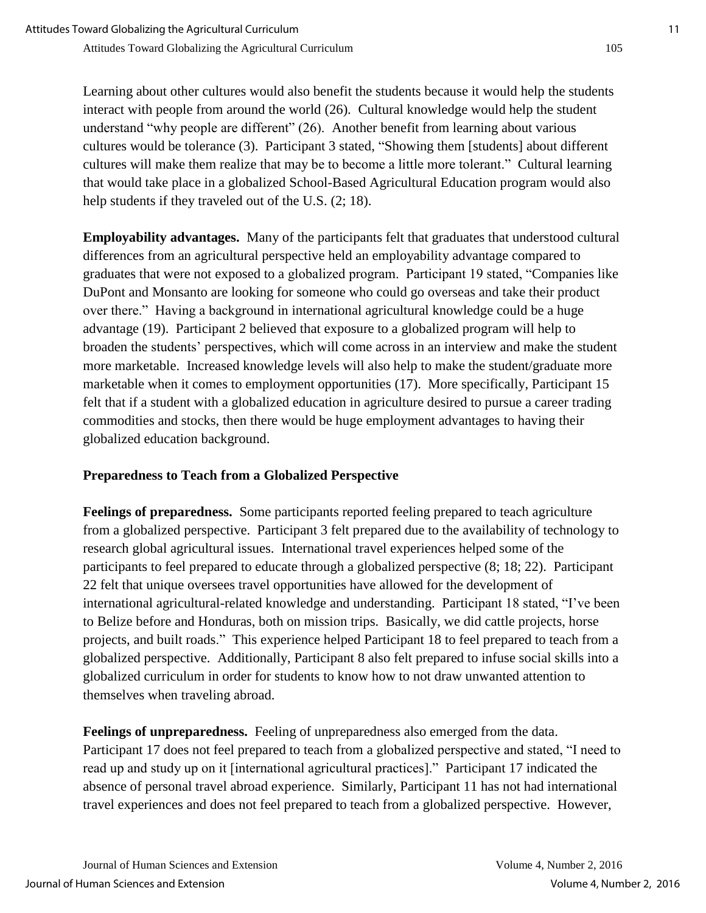Learning about other cultures would also benefit the students because it would help the students interact with people from around the world (26). Cultural knowledge would help the student understand "why people are different" (26). Another benefit from learning about various cultures would be tolerance (3). Participant 3 stated, "Showing them [students] about different cultures will make them realize that may be to become a little more tolerant." Cultural learning that would take place in a globalized School-Based Agricultural Education program would also help students if they traveled out of the U.S.  $(2; 18)$ .

**Employability advantages.** Many of the participants felt that graduates that understood cultural differences from an agricultural perspective held an employability advantage compared to graduates that were not exposed to a globalized program. Participant 19 stated, "Companies like DuPont and Monsanto are looking for someone who could go overseas and take their product over there." Having a background in international agricultural knowledge could be a huge advantage (19). Participant 2 believed that exposure to a globalized program will help to broaden the students' perspectives, which will come across in an interview and make the student more marketable. Increased knowledge levels will also help to make the student/graduate more marketable when it comes to employment opportunities (17). More specifically, Participant 15 felt that if a student with a globalized education in agriculture desired to pursue a career trading commodities and stocks, then there would be huge employment advantages to having their globalized education background.

# **Preparedness to Teach from a Globalized Perspective**

**Feelings of preparedness.** Some participants reported feeling prepared to teach agriculture from a globalized perspective. Participant 3 felt prepared due to the availability of technology to research global agricultural issues. International travel experiences helped some of the participants to feel prepared to educate through a globalized perspective (8; 18; 22). Participant 22 felt that unique oversees travel opportunities have allowed for the development of international agricultural-related knowledge and understanding. Participant 18 stated, "I've been to Belize before and Honduras, both on mission trips. Basically, we did cattle projects, horse projects, and built roads." This experience helped Participant 18 to feel prepared to teach from a globalized perspective. Additionally, Participant 8 also felt prepared to infuse social skills into a globalized curriculum in order for students to know how to not draw unwanted attention to themselves when traveling abroad.

**Feelings of unpreparedness.** Feeling of unpreparedness also emerged from the data. Participant 17 does not feel prepared to teach from a globalized perspective and stated, "I need to read up and study up on it [international agricultural practices]." Participant 17 indicated the absence of personal travel abroad experience. Similarly, Participant 11 has not had international travel experiences and does not feel prepared to teach from a globalized perspective. However,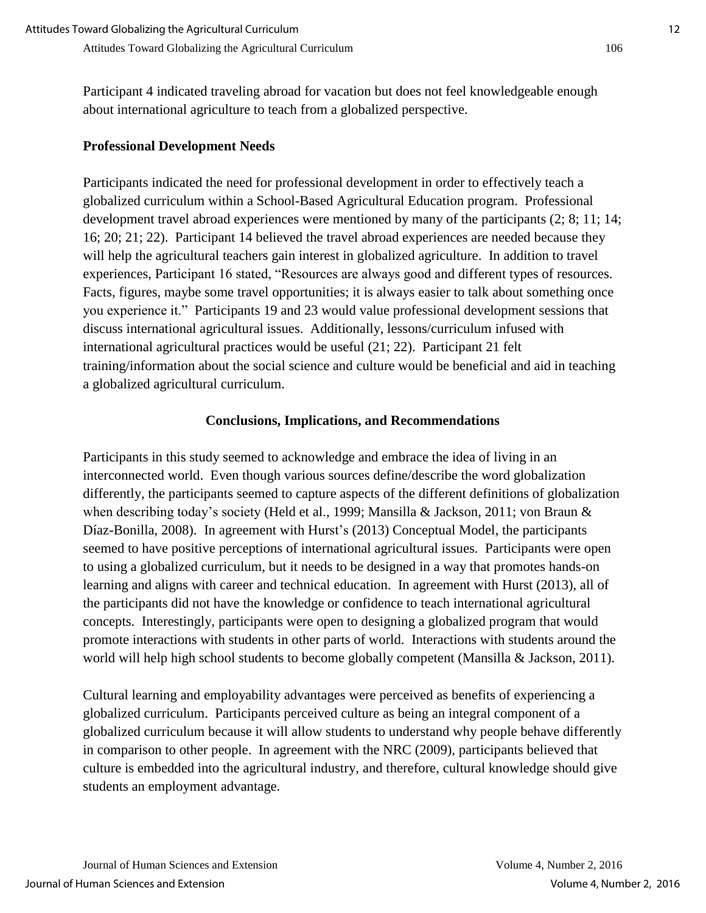Participant 4 indicated traveling abroad for vacation but does not feel knowledgeable enough about international agriculture to teach from a globalized perspective.

#### **Professional Development Needs**

Participants indicated the need for professional development in order to effectively teach a globalized curriculum within a School-Based Agricultural Education program. Professional development travel abroad experiences were mentioned by many of the participants (2; 8; 11; 14; 16; 20; 21; 22). Participant 14 believed the travel abroad experiences are needed because they will help the agricultural teachers gain interest in globalized agriculture. In addition to travel experiences, Participant 16 stated, "Resources are always good and different types of resources. Facts, figures, maybe some travel opportunities; it is always easier to talk about something once you experience it." Participants 19 and 23 would value professional development sessions that discuss international agricultural issues. Additionally, lessons/curriculum infused with international agricultural practices would be useful (21; 22). Participant 21 felt training/information about the social science and culture would be beneficial and aid in teaching a globalized agricultural curriculum.

#### **Conclusions, Implications, and Recommendations**

Participants in this study seemed to acknowledge and embrace the idea of living in an interconnected world. Even though various sources define/describe the word globalization differently, the participants seemed to capture aspects of the different definitions of globalization when describing today's society (Held et al., 1999; Mansilla & Jackson, 2011; von Braun & Díaz-Bonilla, 2008). In agreement with Hurst's (2013) Conceptual Model, the participants seemed to have positive perceptions of international agricultural issues. Participants were open to using a globalized curriculum, but it needs to be designed in a way that promotes hands-on learning and aligns with career and technical education. In agreement with Hurst (2013), all of the participants did not have the knowledge or confidence to teach international agricultural concepts. Interestingly, participants were open to designing a globalized program that would promote interactions with students in other parts of world. Interactions with students around the world will help high school students to become globally competent (Mansilla & Jackson, 2011).

Cultural learning and employability advantages were perceived as benefits of experiencing a globalized curriculum. Participants perceived culture as being an integral component of a globalized curriculum because it will allow students to understand why people behave differently in comparison to other people. In agreement with the NRC (2009), participants believed that culture is embedded into the agricultural industry, and therefore, cultural knowledge should give students an employment advantage.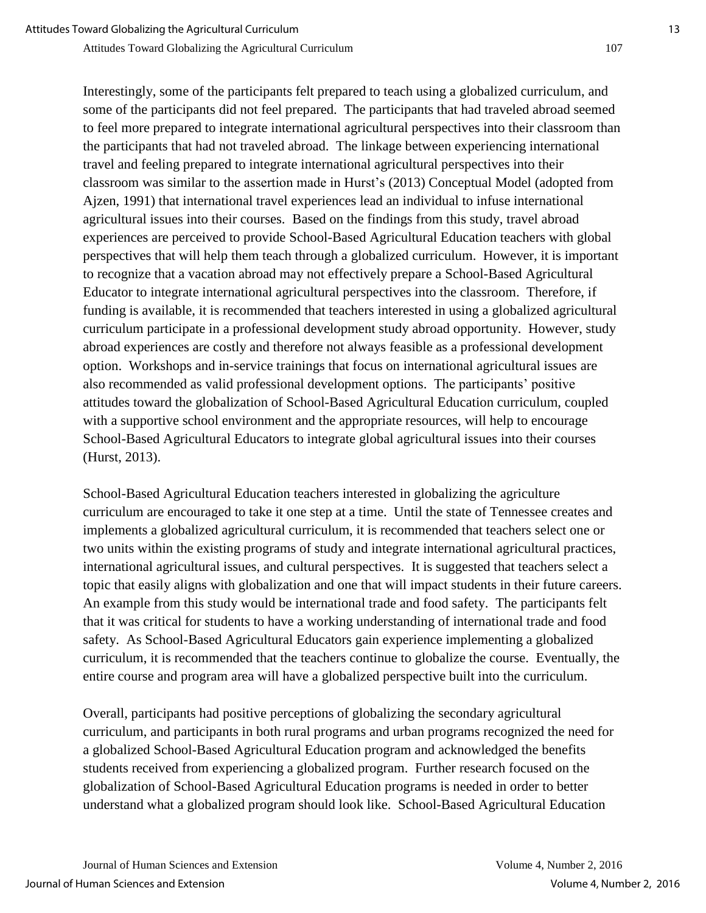Interestingly, some of the participants felt prepared to teach using a globalized curriculum, and some of the participants did not feel prepared. The participants that had traveled abroad seemed to feel more prepared to integrate international agricultural perspectives into their classroom than the participants that had not traveled abroad. The linkage between experiencing international travel and feeling prepared to integrate international agricultural perspectives into their classroom was similar to the assertion made in Hurst's (2013) Conceptual Model (adopted from Ajzen, 1991) that international travel experiences lead an individual to infuse international agricultural issues into their courses. Based on the findings from this study, travel abroad experiences are perceived to provide School-Based Agricultural Education teachers with global perspectives that will help them teach through a globalized curriculum. However, it is important to recognize that a vacation abroad may not effectively prepare a School-Based Agricultural Educator to integrate international agricultural perspectives into the classroom. Therefore, if funding is available, it is recommended that teachers interested in using a globalized agricultural curriculum participate in a professional development study abroad opportunity. However, study abroad experiences are costly and therefore not always feasible as a professional development option. Workshops and in-service trainings that focus on international agricultural issues are also recommended as valid professional development options. The participants' positive attitudes toward the globalization of School-Based Agricultural Education curriculum, coupled with a supportive school environment and the appropriate resources, will help to encourage School-Based Agricultural Educators to integrate global agricultural issues into their courses (Hurst, 2013).

School-Based Agricultural Education teachers interested in globalizing the agriculture curriculum are encouraged to take it one step at a time. Until the state of Tennessee creates and implements a globalized agricultural curriculum, it is recommended that teachers select one or two units within the existing programs of study and integrate international agricultural practices, international agricultural issues, and cultural perspectives. It is suggested that teachers select a topic that easily aligns with globalization and one that will impact students in their future careers. An example from this study would be international trade and food safety. The participants felt that it was critical for students to have a working understanding of international trade and food safety. As School-Based Agricultural Educators gain experience implementing a globalized curriculum, it is recommended that the teachers continue to globalize the course. Eventually, the entire course and program area will have a globalized perspective built into the curriculum.

Overall, participants had positive perceptions of globalizing the secondary agricultural curriculum, and participants in both rural programs and urban programs recognized the need for a globalized School-Based Agricultural Education program and acknowledged the benefits students received from experiencing a globalized program. Further research focused on the globalization of School-Based Agricultural Education programs is needed in order to better understand what a globalized program should look like. School-Based Agricultural Education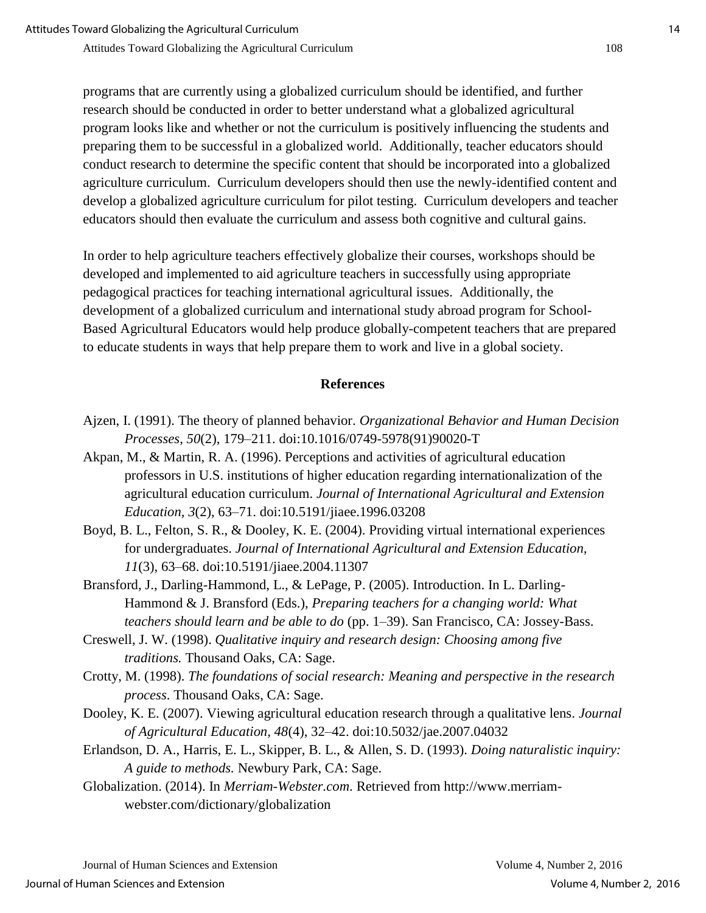programs that are currently using a globalized curriculum should be identified, and further research should be conducted in order to better understand what a globalized agricultural program looks like and whether or not the curriculum is positively influencing the students and preparing them to be successful in a globalized world. Additionally, teacher educators should conduct research to determine the specific content that should be incorporated into a globalized agriculture curriculum. Curriculum developers should then use the newly-identified content and develop a globalized agriculture curriculum for pilot testing. Curriculum developers and teacher educators should then evaluate the curriculum and assess both cognitive and cultural gains.

In order to help agriculture teachers effectively globalize their courses, workshops should be developed and implemented to aid agriculture teachers in successfully using appropriate pedagogical practices for teaching international agricultural issues. Additionally, the development of a globalized curriculum and international study abroad program for School-Based Agricultural Educators would help produce globally-competent teachers that are prepared to educate students in ways that help prepare them to work and live in a global society.

### **References**

- Ajzen, I. (1991). The theory of planned behavior. *Organizational Behavior and Human Decision Processes, 50*(2), 179–211. doi:10.1016/0749-5978(91)90020-T
- Akpan, M., & Martin, R. A. (1996). Perceptions and activities of agricultural education professors in U.S. institutions of higher education regarding internationalization of the agricultural education curriculum. *Journal of International Agricultural and Extension Education, 3*(2), 63–71. doi:10.5191/jiaee.1996.03208
- Boyd, B. L., Felton, S. R., & Dooley, K. E. (2004). Providing virtual international experiences for undergraduates. *Journal of International Agricultural and Extension Education, 11*(3), 63–68. doi:10.5191/jiaee.2004.11307
- Bransford, J., Darling-Hammond, L., & LePage, P. (2005). Introduction. In L. Darling-Hammond & J. Bransford (Eds.), *Preparing teachers for a changing world: What teachers should learn and be able to do* (pp. 1–39). San Francisco, CA: Jossey-Bass.
- Creswell, J. W. (1998). *Qualitative inquiry and research design: Choosing among five traditions.* Thousand Oaks, CA: Sage.
- Crotty, M. (1998). *The foundations of social research: Meaning and perspective in the research process*. Thousand Oaks, CA: Sage.
- Dooley, K. E. (2007). Viewing agricultural education research through a qualitative lens. *Journal of Agricultural Education, 48*(4), 32–42. doi:10.5032/jae.2007.04032
- Erlandson, D. A., Harris, E. L., Skipper, B. L., & Allen, S. D. (1993). *Doing naturalistic inquiry: A guide to methods.* Newbury Park, CA: Sage.
- Globalization. (2014). In *Merriam-Webster.com*. Retrieved from http://www.merriamwebster.com/dictionary/globalization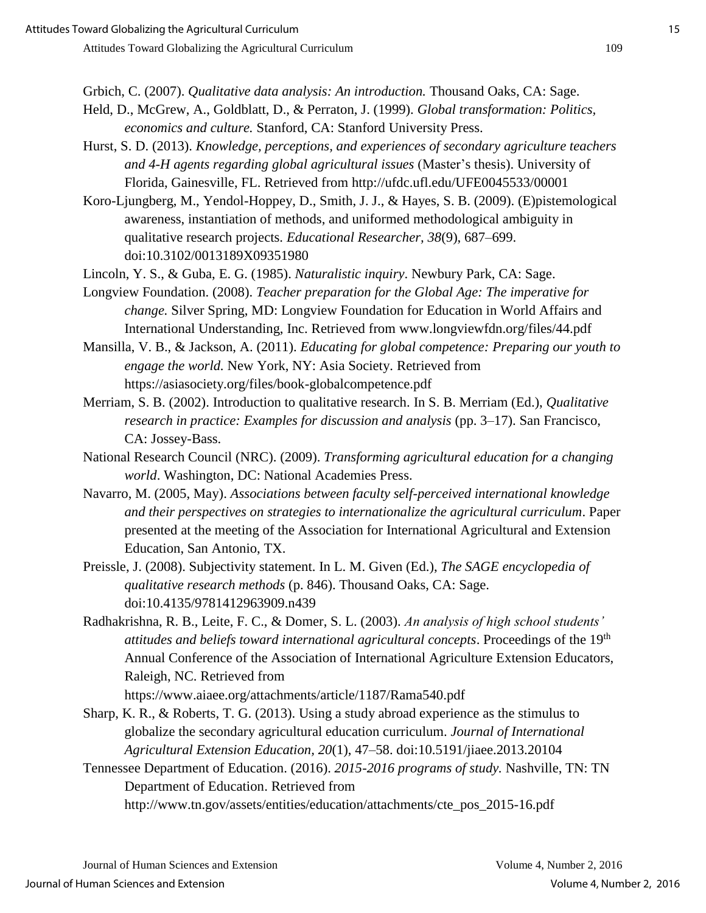Grbich, C. (2007). *Qualitative data analysis: An introduction.* Thousand Oaks, CA: Sage.

- Held, D., McGrew, A., Goldblatt, D., & Perraton, J. (1999). *Global transformation: Politics, economics and culture.* Stanford, CA: Stanford University Press.
- Hurst, S. D. (2013). *Knowledge, perceptions, and experiences of secondary agriculture teachers and 4-H agents regarding global agricultural issues* (Master's thesis). University of Florida, Gainesville, FL. Retrieved from http://ufdc.ufl.edu/UFE0045533/00001
- Koro-Ljungberg, M., Yendol-Hoppey, D., Smith, J. J., & Hayes, S. B. (2009). (E)pistemological awareness, instantiation of methods, and uniformed methodological ambiguity in qualitative research projects. *Educational Researcher, 38*(9), 687–699. doi:10.3102/0013189X09351980
- Lincoln, Y. S., & Guba, E. G. (1985). *Naturalistic inquiry*. Newbury Park, CA: Sage.
- Longview Foundation. (2008). *Teacher preparation for the Global Age: The imperative for change.* Silver Spring, MD: Longview Foundation for Education in World Affairs and International Understanding, Inc. Retrieved from www.longviewfdn.org/files/44.pdf
- Mansilla, V. B., & Jackson, A. (2011). *Educating for global competence: Preparing our youth to engage the world.* New York, NY: Asia Society. Retrieved from https://asiasociety.org/files/book-globalcompetence.pdf
- Merriam, S. B. (2002). Introduction to qualitative research. In S. B. Merriam (Ed.), *Qualitative research in practice: Examples for discussion and analysis* (pp. 3–17). San Francisco, CA: Jossey-Bass.
- National Research Council (NRC). (2009). *Transforming agricultural education for a changing world*. Washington, DC: National Academies Press.
- Navarro, M. (2005, May). *Associations between faculty self-perceived international knowledge and their perspectives on strategies to internationalize the agricultural curriculum*. Paper presented at the meeting of the Association for International Agricultural and Extension Education, San Antonio, TX.
- Preissle, J. (2008). Subjectivity statement. In L. M. Given (Ed.), *The SAGE encyclopedia of qualitative research methods* (p. 846). Thousand Oaks, CA: Sage. doi:10.4135/9781412963909.n439
- Radhakrishna, R. B., Leite, F. C., & Domer, S. L. (2003). *An analysis of high school students' attitudes and beliefs toward international agricultural concepts*. Proceedings of the 19th Annual Conference of the Association of International Agriculture Extension Educators, Raleigh, NC. Retrieved from

https://www.aiaee.org/attachments/article/1187/Rama540.pdf

- Sharp, K. R., & Roberts, T. G. (2013). Using a study abroad experience as the stimulus to globalize the secondary agricultural education curriculum. *Journal of International Agricultural Extension Education, 20*(1), 47–58. doi:10.5191/jiaee.2013.20104
- Tennessee Department of Education. (2016). *2015-2016 programs of study.* Nashville, TN: TN Department of Education. Retrieved from http://www.tn.gov/assets/entities/education/attachments/cte\_pos\_2015-16.pdf